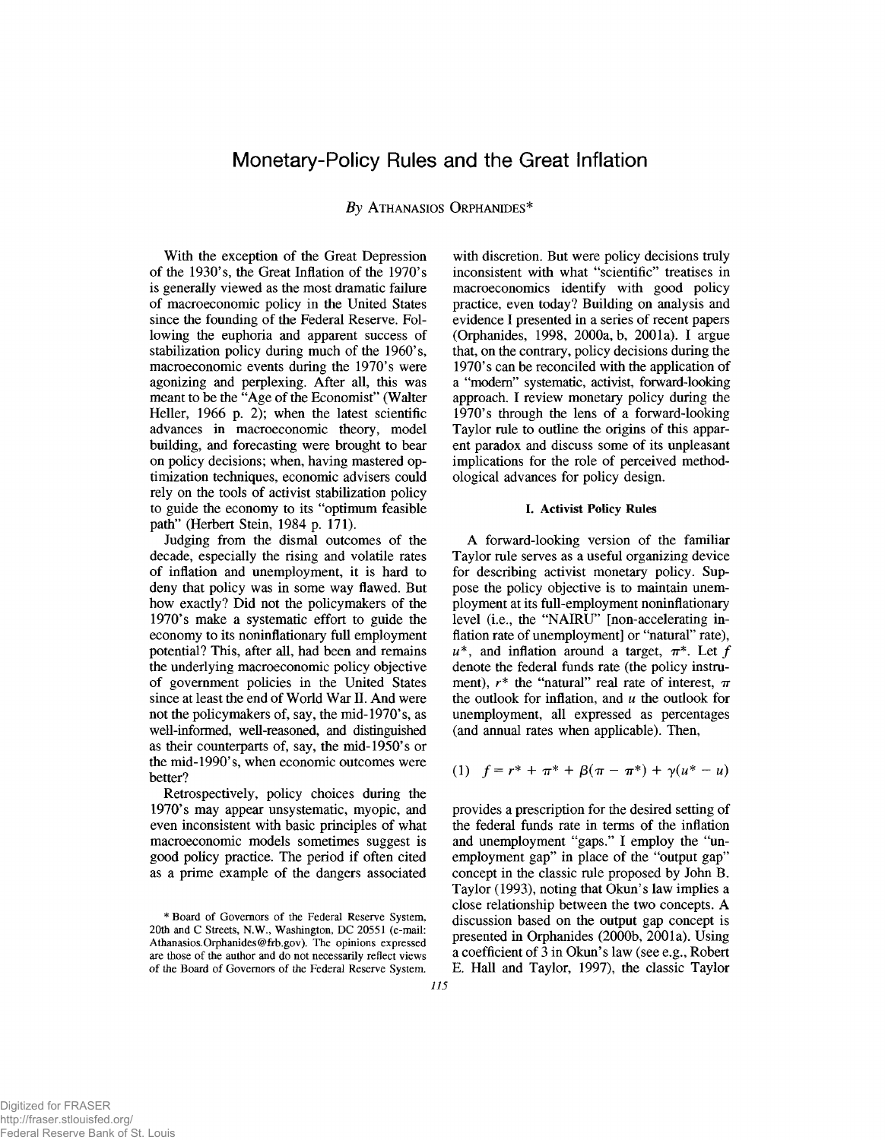# Monetary-Policy Rules and the Great Inflation

## **By ATHANASIOS ORPHANIDES\***

With the exception of the Great Depression of the 1930's, the Great Inflation of the 1970's is generally viewed as the most dramatic failure of macroeconomic policy in the United States since the founding of the Federal Reserve. Following the euphoria and apparent success of stabilization policy during much of the 1960's, macroeconomic events during the 1970's were agonizing and perplexing. After all, this was meant to be the "Age of the Economist" (Walter Heller, 1966 p. 2); when the latest scientific advances in macroeconomic theory, model building, and forecasting were brought to bear on policy decisions; when, having mastered optimization techniques, economic advisers could rely on the tools of activist stabilization policy to guide the economy to its "optimum feasible path" (Herbert Stein, 1984 p. 171).

Judging from the dismal outcomes of the decade, especially the rising and volatile rates of inflation and unemployment, it is hard to deny that policy was in some way flawed. But how exactly? Did not the policymakers of the 1970's make a systematic effort to guide the economy to its noninflationary full employment potential? This, after all, had been and remains the underlying macroeconomic policy objective of government policies in the United States since at least the end of World War II. And were not the policymakers of, say, the mid-1970's, as well-informed, well-reasoned, and distinguished as their counterparts of, say, the mid-1950's or the mid-1990's, when economic outcomes were better?

Retrospectively, policy choices during the 1970's may appear unsystematic, myopic, and even inconsistent with basic principles of what macroeconomic models sometimes suggest is good policy practice. The period if often cited as a prime example of the dangers associated

with discretion. But were policy decisions truly inconsistent with what "scientific" treatises in macroeconomics identify with good policy practice, even today? Building on analysis and evidence I presented in a series of recent papers (Orphanides, 1998, 2000a, b, 2001a). I argue that, on the contrary, policy decisions during the 1970's can be reconciled with the application of a "modem" systematic, activist, forward-looking approach. I review monetary policy during the 1970's through the lens of a forward-looking Taylor rule to outline the origins of this apparent paradox and discuss some of its unpleasant implications for the role of perceived methodological advances for policy design.

### **I. Activist Policy Rules**

A forward-looking version of the familiar Taylor rule serves as a useful organizing device for describing activist monetary policy. Suppose the policy objective is to maintain unemployment at its full-employment noninflationary level (i.e., the "NAIRU" [non-accelerating inflation rate of unemployment] or "natural" rate),  $u^*$ , and inflation around a target,  $\pi^*$ . Let f denote the federal funds rate (the policy instrument),  $r^*$  the "natural" real rate of interest,  $\pi$ the outlook for inflation, and *u* the outlook for unemployment, all expressed as percentages (and annual rates when applicable). Then,

(1) 
$$
f = r^* + \pi^* + \beta(\pi - \pi^*) + \gamma(u^* - u)
$$

provides a prescription for the desired setting of the federal funds rate in terms of the inflation and unemployment "gaps." I employ the "unemployment gap" in place of the "output gap" concept in the classic rule proposed by John B. Taylor (1993), noting that Okun's law implies a close relationship between the two concepts. A discussion based on the output gap concept is presented in Orphanides (2000b, 2001a). Using a coefficient of 3 in Okun's law (see e.g., Robert E. Hall and Taylor, 1997), the classic Taylor

**<sup>\*</sup> Board of Governors of the Federal Reserve System, 20th and C Streets, N.W., Washington, DC 20551 (e-mail: [Athanasios.Orphanides@frb.gov](mailto:Athanasios.Orphanides@frb.gov)). The opinions expressed are those of the author and do not necessarily reflect views of the Board of Governors of the Federal Reserve System.**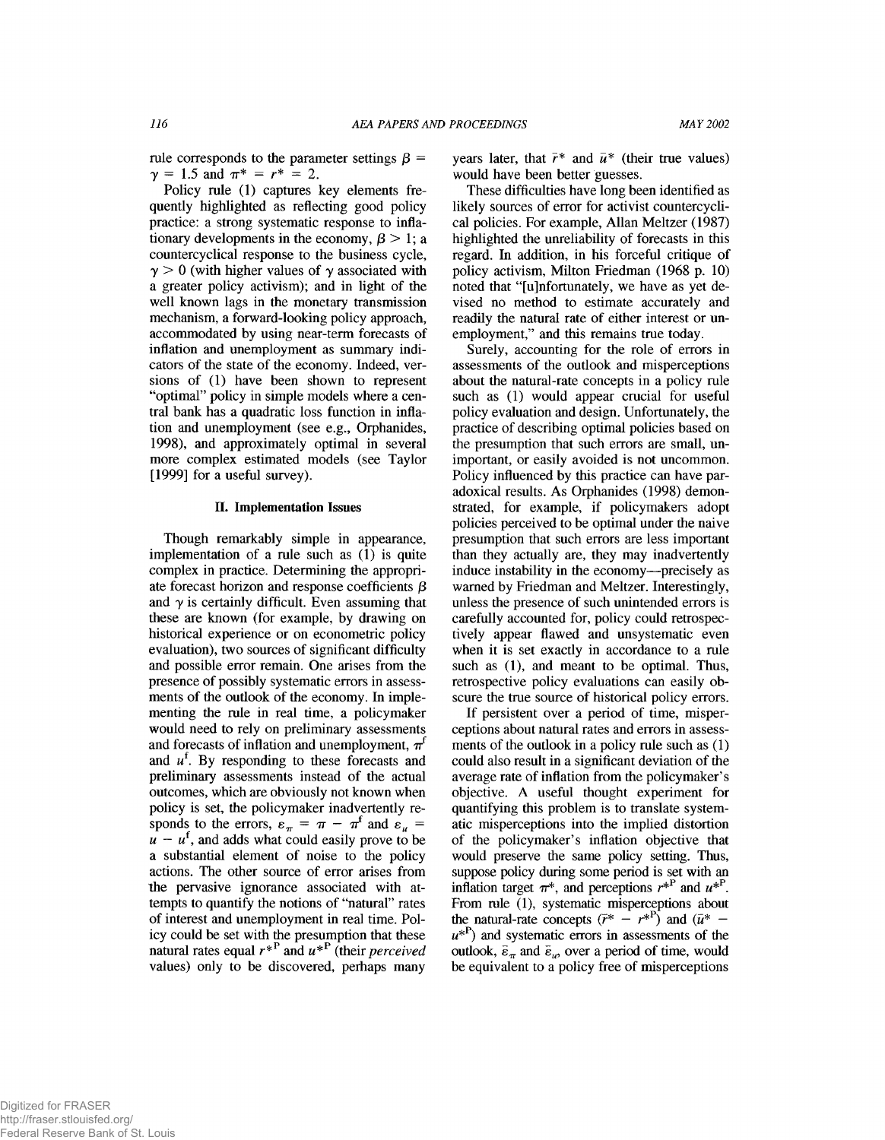rule corresponds to the parameter settings  $\beta =$  $\gamma = 1.5$  and  $\pi^* = r^* = 2$ .

Policy rule (1) captures key elements frequently highlighted as reflecting good policy practice: a strong systematic response to inflationary developments in the economy,  $\beta > 1$ ; a countercyclical response to the business cycle,  $\gamma > 0$  (with higher values of  $\gamma$  associated with a greater policy activism); and in light of the well known lags in the monetary transmission mechanism, a forward-looking policy approach, accommodated by using near-term forecasts of inflation and unemployment as summary indicators of the state of the economy. Indeed, versions of (1) have been shown to represent "optimal" policy in simple models where a central bank has a quadratic loss function in inflation and unemployment (see e.g., Orphanides, 1998), and approximately optimal in several more complex estimated models (see Taylor [1999] for a useful survey).

### **II. Implementation Issues**

Though remarkably simple in appearance, implementation of a rule such as (1) is quite complex in practice. Determining the appropriate forecast horizon and response coefficients  $\beta$ and  $\gamma$  is certainly difficult. Even assuming that these are known (for example, by drawing on historical experience or on econometric policy evaluation), two sources of significant difficulty and possible error remain. One arises from the presence of possibly systematic errors in assessments of the outlook of the economy. In implementing the rule in real time, a policymaker would need to rely on preliminary assessments and forecasts of inflation and unemployment,  $\pi^{f}$ and  $u^f$ . By responding to these forecasts and preliminary assessments instead of the actual outcomes, which are obviously not known when policy is set, the policymaker inadvertently responds to the errors,  $\varepsilon_{\pi} = \pi - \pi^{t}$  and  $\varepsilon_{u} =$  $u - u^f$ , and adds what could easily prove to be a substantial element of noise to the policy actions. The other source of error arises from the pervasive ignorance associated with attempts to quantify the notions of "natural" rates of interest and unemployment in real time. Policy could be set with the presumption that these natural rates equal  $r^*$  and  $u^*$  (their *perceived* values) only to be discovered, perhaps many

years later, that  $\bar{r}^*$  and  $\bar{u}^*$  (their true values) would have been better guesses.

These difficulties have long been identified as likely sources of error for activist countercyclical policies. For example, Allan Meltzer (1987) highlighted the unreliability of forecasts in this regard. In addition, in his forceful critique of policy activism, Milton Friedman (1968 p. 10) noted that "[u]nfortunately, we have as yet devised no method to estimate accurately and readily the natural rate of either interest or unemployment," and this remains true today.

Surely, accounting for the role of errors in assessments of the outlook and misperceptions about the natural-rate concepts in a policy rule such as (1) would appear crucial for useful policy evaluation and design. Unfortunately, the practice of describing optimal policies based on the presumption that such errors are small, unimportant, or easily avoided is not uncommon. Policy influenced by this practice can have paradoxical results. As Orphanides (1998) demonstrated, for example, if policymakers adopt policies perceived to be optimal under the naive presumption that such errors are less important than they actually are, they may inadvertently induce instability in the economy—precisely as warned by Friedman and Meltzer. Interestingly, unless the presence of such unintended errors is carefully accounted for, policy could retrospectively appear flawed and unsystematic even when it is set exactly in accordance to a rule such as (1), and meant to be optimal. Thus, retrospective policy evaluations can easily obscure the true source of historical policy errors.

If persistent over a period of time, misperceptions about natural rates and errors in assessments of the outlook in a policy rule such as (1) could also result in a significant deviation of the average rate of inflation from the policymaker's objective. A useful thought experiment for quantifying this problem is to translate systematic misperceptions into the implied distortion of the policymaker's inflation objective that would preserve the same policy setting. Thus, suppose policy during some period is set with an inflation target  $\pi^*$ , and perceptions  $r^{*P}$  and  $u^{*P}$ . From rule (1), systematic misperceptions about the natural-rate concepts  $(\bar{r}^* - r^{*})$  and  $(\bar{u}^*$  $u^*$ <sup>P</sup>) and systematic errors in assessments of the outlook,  $\bar{\varepsilon}_\pi$  and  $\bar{\varepsilon}_\omega$ , over a period of time, would be equivalent to a policy free of misperceptions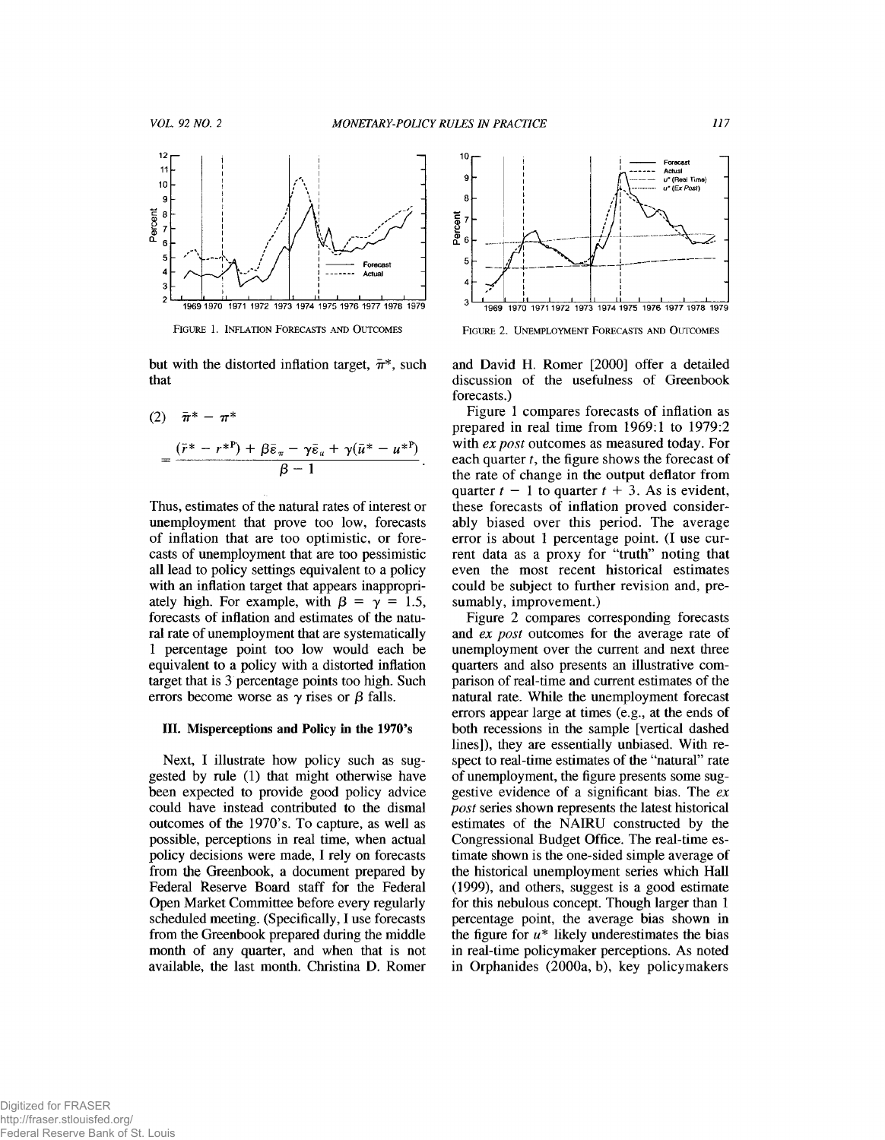

FIGURE 1. INFLATION FORECASTS AND OUTCOMES

but with the distorted inflation target,  $\bar{\pi}^*$ , such that

(2) 
$$
\bar{\pi}^* - \pi^*
$$

$$
= \frac{(\bar{r}^* - r^{*P}) + \beta \bar{\varepsilon}_\pi - \gamma \bar{\varepsilon}_\pi + \gamma (\bar{u}^* - u^{*P})}{\beta - 1}.
$$

Thus, estimates of the natural rates of interest or unemployment that prove too low, forecasts of inflation that are too optimistic, or forecasts of unemployment that are too pessimistic all lead to policy settings equivalent to a policy with an inflation target that appears inappropriately high. For example, with  $\beta = \gamma = 1.5$ , forecasts of inflation and estimates of the natural rate of unemployment that are systematically 1 percentage point too low would each be equivalent to a policy with a distorted inflation target that is 3 percentage points too high. Such errors become worse as  $\gamma$  rises or  $\beta$  falls.

### **III. Misperceptions and Policy in the 1970's**

Next, I illustrate how policy such as suggested by rule (1) that might otherwise have been expected to provide good policy advice could have instead contributed to the dismal outcomes of the 1970's. To capture, as well as possible, perceptions in real time, when actual policy decisions were made, I rely on forecasts from the Greenbook, a document prepared by Federal Reserve Board staff for the Federal Open Market Committee before every regularly scheduled meeting. (Specifically, I use forecasts from the Greenbook prepared during the middle month of any quarter, and when that is not available, the last month. Christina D. Romer



FIGURE 2. UNEMPLOYMENT FORECASTS AND OUTCOMES

and David H. Romer [2000] offer a detailed discussion of the usefulness of Greenbook forecasts.)

Figure 1 compares forecasts of inflation as prepared in real time from 1969:1 to 1979:2 with *ex post* outcomes as measured today. For each quarter *t,* the figure shows the forecast of the rate of change in the output deflator from quarter  $t - 1$  to quarter  $t + 3$ . As is evident, these forecasts of inflation proved considerably biased over this period. The average error is about 1 percentage point. (I use current data as a proxy for "truth" noting that even the most recent historical estimates could be subject to further revision and, presumably, improvement.)

Figure 2 compares corresponding forecasts and *ex post* outcomes for the average rate of unemployment over the current and next three quarters and also presents an illustrative comparison of real-time and current estimates of the natural rate. While the unemployment forecast errors appear large at times (e.g., at the ends of both recessions in the sample [vertical dashed lines]), they are essentially unbiased. With respect to red-time estimates of the "natural" rate of unemployment, the figure presents some suggestive evidence of a significant bias. The *ex post* series shown represents the latest historical estimates of the NAIRU constructed by the Congressional Budget Office. The real-time estimate shown is the one-sided simple average of the historical unemployment series which Hall (1999), and others, suggest is a good estimate for this nebulous concept. Though larger than 1 percentage point, the average bias shown in the figure for  $u^*$  likely underestimates the bias in real-time policymaker perceptions. As noted in Orphanides (2000a, b), key policymakers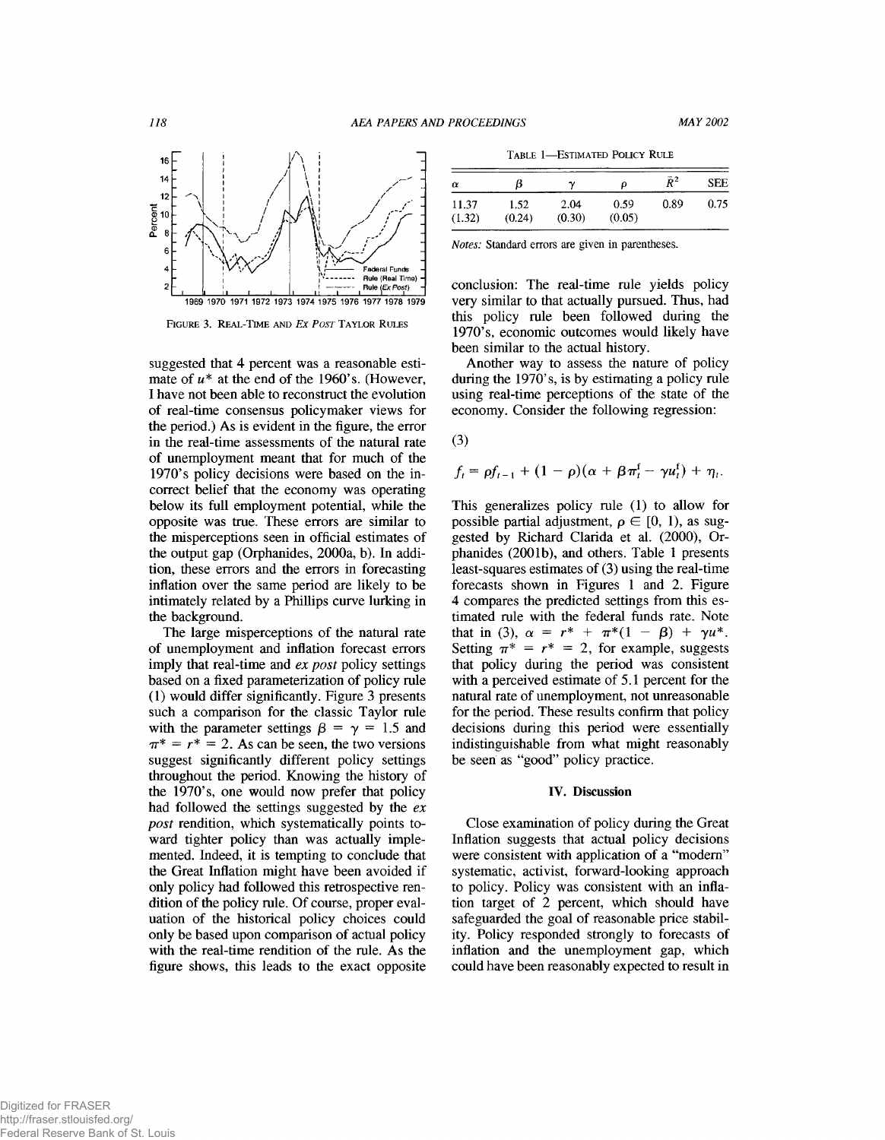

FIGURE 3. REAL-TIME AND *EX POST* TAYLOR RULES

suggested that 4 percent was a reasonable estimate of  $u^*$  at the end of the 1960's. (However, I have not been able to reconstruct the evolution of real-time consensus policymaker views for the period.) As is evident in the figure, the error in the real-time assessments of the natural rate of unemployment meant that for much of the 1970's policy decisions were based on the incorrect belief that the economy was operating below its full employment potential, while the opposite was true. These errors are similar to the misperceptions seen in official estimates of the output gap (Orphanides, 2000a, b). In addition, these errors and the errors in forecasting inflation over the same period are likely to be intimately related by a Phillips curve lurking in the background.

The large misperceptions of the natural rate of unemployment and inflation forecast errors imply that real-time and *ex post* policy settings based on a fixed parameterization of policy rule (1) would differ significantly. Figure 3 presents such a comparison for the classic Taylor rule with the parameter settings  $\beta = \gamma = 1.5$  and  $\pi^* = r^* = 2$ . As can be seen, the two versions suggest significantly different policy settings throughout the period. Knowing the history of the 1970's, one would now prefer that policy had followed the settings suggested by the *ex post* rendition, which systematically points toward tighter policy than was actually implemented. Indeed, it is tempting to conclude that the Great Inflation might have been avoided if only policy had followed this retrospective rendition of the policy rule. Of course, proper evaluation of the historical policy choices could only be based upon comparison of actual policy with the real-time rendition of the rule. As the figure shows, this leads to the exact opposite

TABLE 1-ESTIMATED POLICY RULE

| α               | в              | ν              | Ω              | $\bar{R}^2$ | <b>SEE</b> |
|-----------------|----------------|----------------|----------------|-------------|------------|
| 11.37<br>(1.32) | 1.52<br>(0.24) | 2.04<br>(0.30) | 0.59<br>(0.05) | 0.89        | 0.75       |

*Notes:* **Standard errors are given in parentheses.**

conclusion: The real-time rule yields policy very similar to that actually pursued. Thus, had this policy rule been followed during the 1970's, economic outcomes would likely have been similar to the actual history.

Another way to assess the nature of policy during the 1970's, is by estimating a policy rule using real-time perceptions of the state of the economy. Consider the following regression:

(3)

$$
f_t = \rho f_{t-1} + (1-\rho)(\alpha + \beta \pi_t^{\rm f} - \gamma u_t^{\rm f}) + \eta_t.
$$

This generalizes policy rule (1) to allow for possible partial adjustment,  $\rho \in [0, 1)$ , as suggested by Richard Clarida et al. (2000), Orphanides (2001b), and others. Table 1 presents least-squares estimates of (3) using the real-time forecasts shown in Figures 1 and 2. Figure 4 compares the predicted settings from this estimated rule with the federal funds rate. Note that in (3),  $\alpha = r^* + \pi^*(1 - \beta) + \gamma u^*$ . Setting  $\pi^* = r^* = 2$ , for example, suggests that policy during the period was consistent with a perceived estimate of 5.1 percent for the natural rate of unemployment, not unreasonable for the period. These results confirm that policy decisions during this period were essentially indistinguishable from what might reasonably be seen as "good" policy practice.

#### **IV. Discussion**

Close examination of policy during the Great Inflation suggests that actual policy decisions were consistent with application of a "modem" systematic, activist, forward-looking approach to policy. Policy was consistent with an inflation target of 2 percent, which should have safeguarded the goal of reasonable price stability. Policy responded strongly to forecasts of inflation and the unemployment gap, which could have been reasonably expected to result in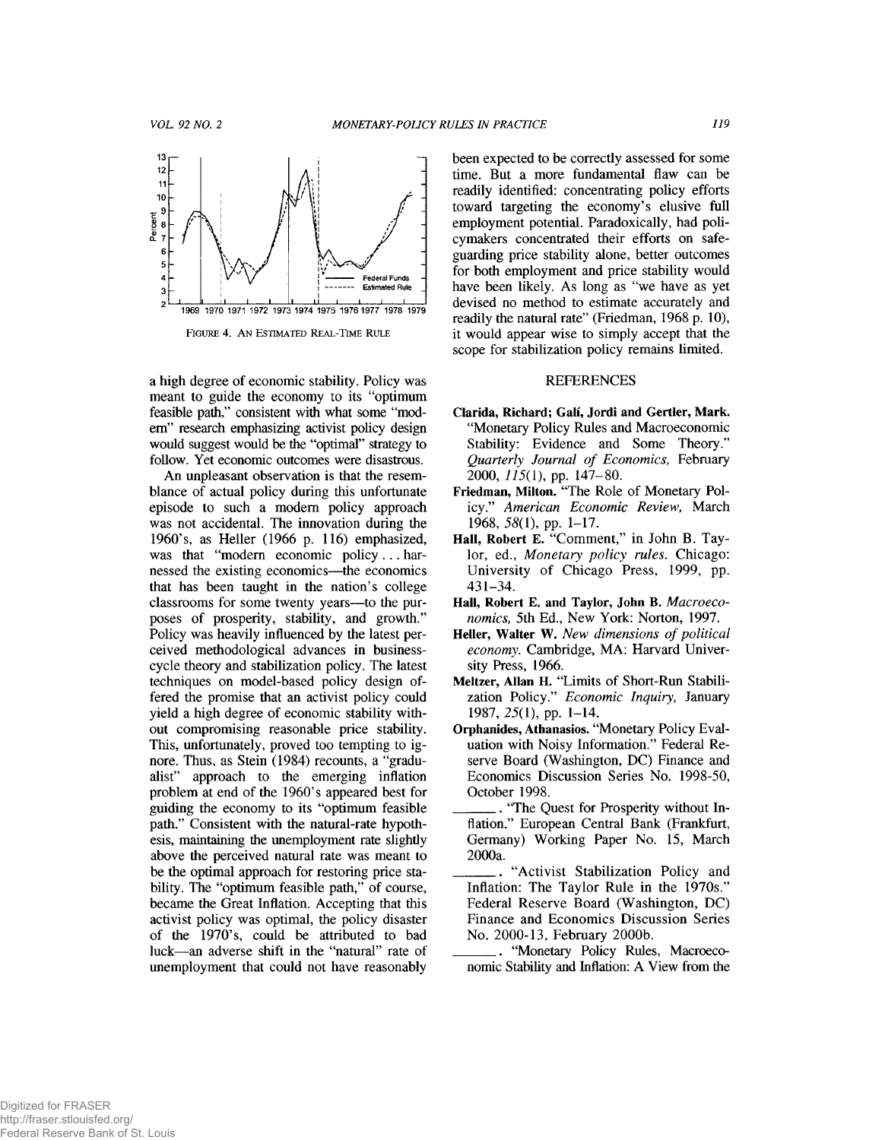

FIGURE 4. AN ESTIMATED REAL-TIME RULE

a high degree of economic stability. Policy was meant to guide the economy to its "optimum feasible path," consistent with what some "modem" research emphasizing activist policy design would suggest would be the "optimal" strategy to follow. Yet economic outcomes were disastrous.

An unpleasant observation is that the resemblance of actual policy during this unfortunate episode to such a modem policy approach was not accidental. The innovation during the 1960's, as Heller (1966 p. 116) emphasized, was that "modern economic policy ... harnessed the existing economics—the economics that has been taught in the nation's college classrooms for some twenty years—to the purposes of prosperity, stability, and growth." Policy was heavily influenced by the latest perceived methodological advances in businesscycle theory and stabilization policy. The latest techniques on model-based policy design offered the promise that an activist policy could yield a high degree of economic stability without compromising reasonable price stability. This, unfortunately, proved too tempting to ignore. Thus, as Stein (1984) recounts, a "gradualist" approach to the emerging inflation problem at end of the 1960's appeared best for guiding the economy to its "optimum feasible path." Consistent with the natural-rate hypothesis, maintaining the unemployment rate slightly above the perceived natural rate was meant to be the optimal approach for restoring price stability. The "optimum feasible path," of course, became the Great Inflation. Accepting that this activist policy was optimal, the policy disaster of the 1970's, could be attributed to bad luck—an adverse shift in the "natural" rate of unemployment that could not have reasonably been expected to be correctly assessed for some time. But a more fundamental flaw can be readily identified: concentrating policy efforts toward targeting the economy's elusive full employment potential. Paradoxically, had policymakers concentrated their efforts on safeguarding price stability alone, better outcomes for both employment and price stability would have been likely. As long as "we have as yet devised no method to estimate accurately and readily the natural rate" (Friedman, 1968 p. 10), it would appear wise to simply accept that the scope for stabilization policy remains limited.

### **REFERENCES**

- **Clarida, Richard; Gali, Jordi and Gertler, Mark.** "Monetary Policy Rules and Macroeconomic Stability: Evidence and Some Theory." *Quarterly Journal of Economics,* February 2000, *115(1),* pp. 147-80.
- **Friedman, Milton.** "The Role of Monetary Policy." *American Economic Review,* March 1968, 58(1), pp. 1-17.
- **Hall, Robert** E. "Comment," in John B. Taylor, ed., *Monetary policy rules.* Chicago: University of Chicago Press, 1999, pp. 431-34.
- **Hall, Robert** E. **and Taylor, John B.** *Macroeconomics,* 5th Ed., New York: Norton, 1997.
- **Heller, Walter W.** *New dimensions of political economy.* Cambridge, MA: Harvard University Press, 1966.
- **Meltzer, Allan H.** "Limits of Short-Run Stabilization Policy." *Economic Inquiry,* January 1987, 25(1), pp. 1-14.
- **Orphanides, Athanasios.** "Monetary Policy Evaluation with Noisy Information." Federal Reserve Board (Washington, DC) Finance and Economics Discussion Series No. 1998-50, October 1998.
- \_\_\_\_\_\_. "The Quest for Prosperity without Inflation." European Central Bank (Frankfurt, Germany) Working Paper No. 15, March 2000a.
- "Activist Stabilization Policy and Inflation: The Taylor Rule in the 1970s." Federal Reserve Board (Washington, DC) Finance and Economics Discussion Series No. 2000-13, February 2000b.
- \_\_\_\_\_\_ "Monetary Policy Rules, Macroeconomic Stability and Inflation: A View from the